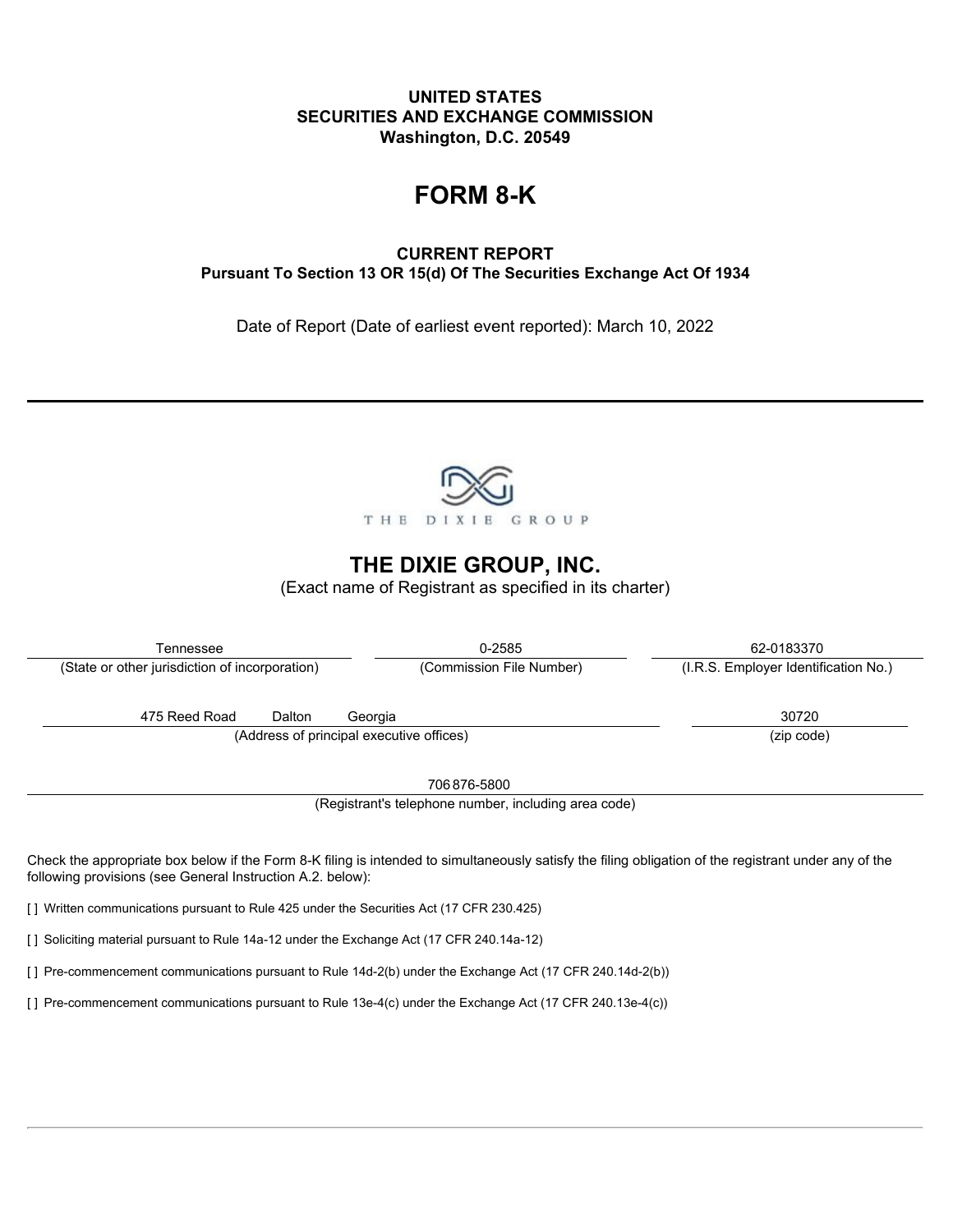## **UNITED STATES SECURITIES AND EXCHANGE COMMISSION Washington, D.C. 20549**

# **FORM 8-K**

**CURRENT REPORT Pursuant To Section 13 OR 15(d) Of The Securities Exchange Act Of 1934**

Date of Report (Date of earliest event reported): March 10, 2022



## **THE DIXIE GROUP, INC.**

(Exact name of Registrant as specified in its charter)

| Tennessee                                                                                                                                                                                                           | 0-2585                                               | 62-0183370                           |  |
|---------------------------------------------------------------------------------------------------------------------------------------------------------------------------------------------------------------------|------------------------------------------------------|--------------------------------------|--|
| (State or other jurisdiction of incorporation)                                                                                                                                                                      | (Commission File Number)                             | (I.R.S. Employer Identification No.) |  |
| 475 Reed Road<br>Dalton<br>(Address of principal executive offices)                                                                                                                                                 | Georgia                                              | 30720<br>(zip code)                  |  |
|                                                                                                                                                                                                                     | 706876-5800                                          |                                      |  |
|                                                                                                                                                                                                                     | (Registrant's telephone number, including area code) |                                      |  |
| Check the appropriate box below if the Form 8-K filing is intended to simultaneously satisfy the filing obligation of the registrant under any of the<br>following provisions (see General Instruction A.2. below): |                                                      |                                      |  |
| [1] Written communications pursuant to Rule 425 under the Securities Act (17 CFR 230.425)                                                                                                                           |                                                      |                                      |  |

[] Soliciting material pursuant to Rule 14a-12 under the Exchange Act (17 CFR 240.14a-12)

[ ] Pre-commencement communications pursuant to Rule 14d-2(b) under the Exchange Act (17 CFR 240.14d-2(b))

[ ] Pre-commencement communications pursuant to Rule 13e-4(c) under the Exchange Act (17 CFR 240.13e-4(c))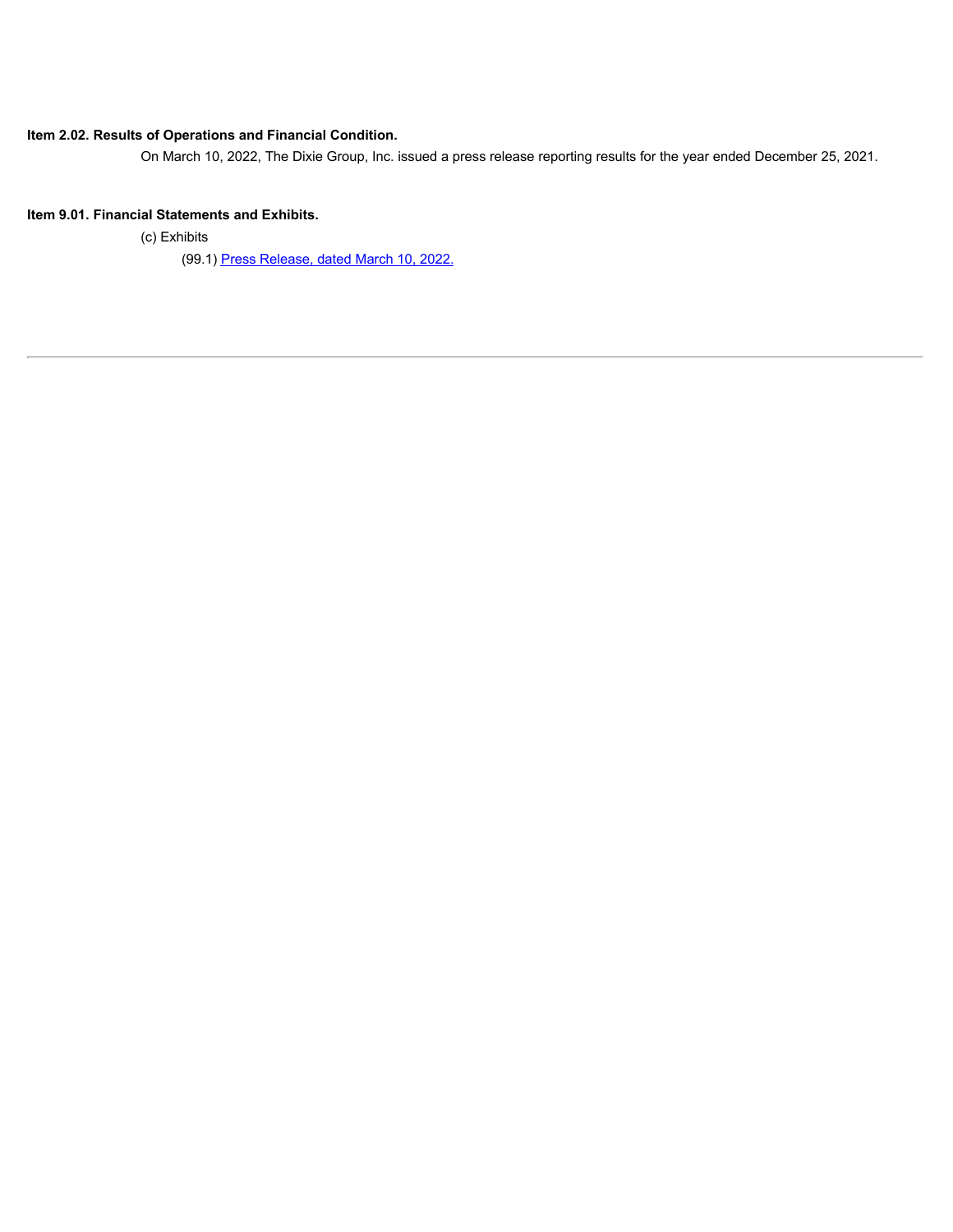#### **Item 2.02. Results of Operations and Financial Condition.**

On March 10, 2022, The Dixie Group, Inc. issued a press release reporting results for the year ended December 25, 2021.

#### **Item 9.01. Financial Statements and Exhibits.**

(c) Exhibits

(99.1) [Press Release, dated March 10, 2022.](#page-3-0)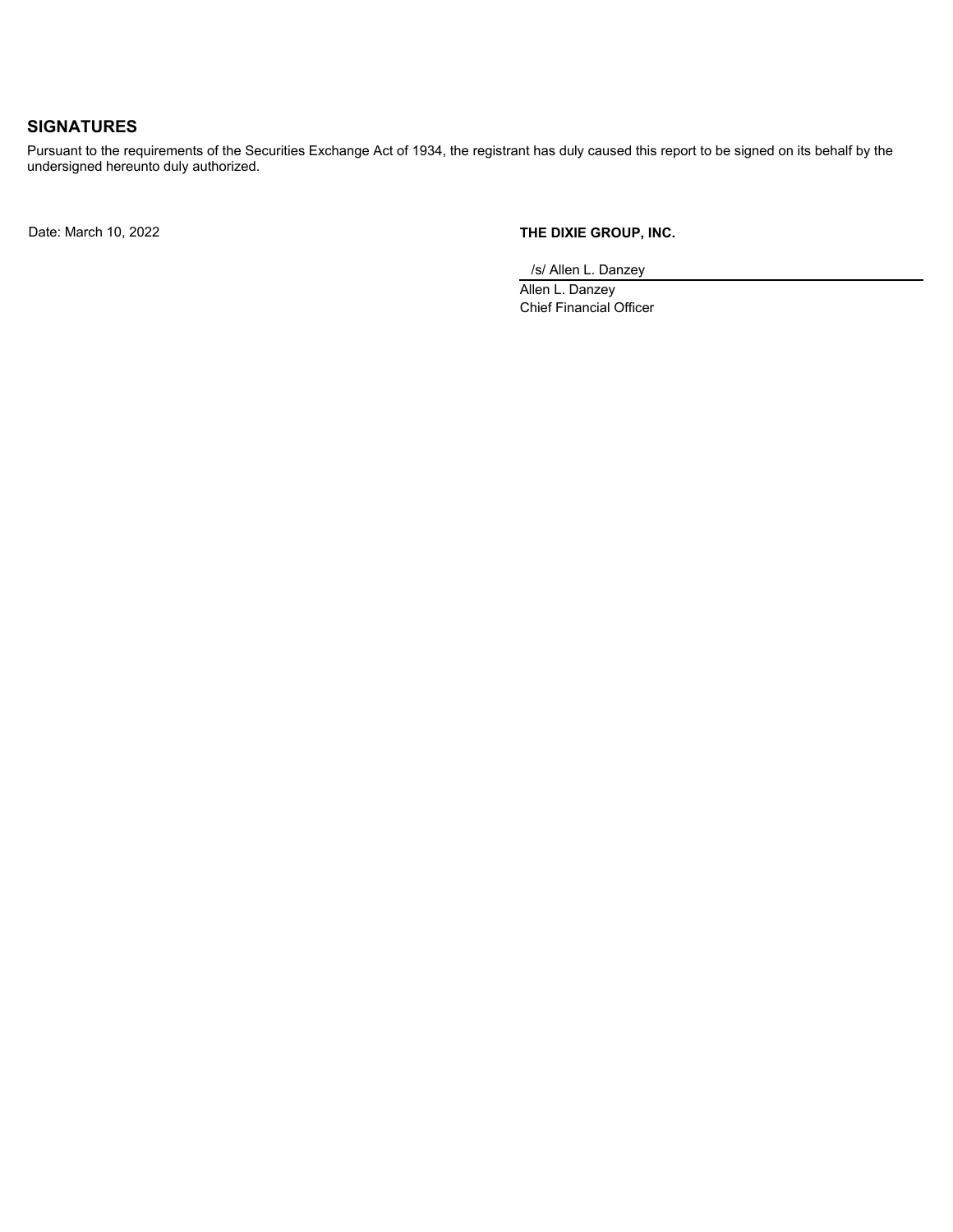## **SIGNATURES**

Pursuant to the requirements of the Securities Exchange Act of 1934, the registrant has duly caused this report to be signed on its behalf by the undersigned hereunto duly authorized.

Date: March 10, 2022 **THE DIXIE GROUP, INC.**

/s/ Allen L. Danzey

Allen L. Danzey Chief Financial Officer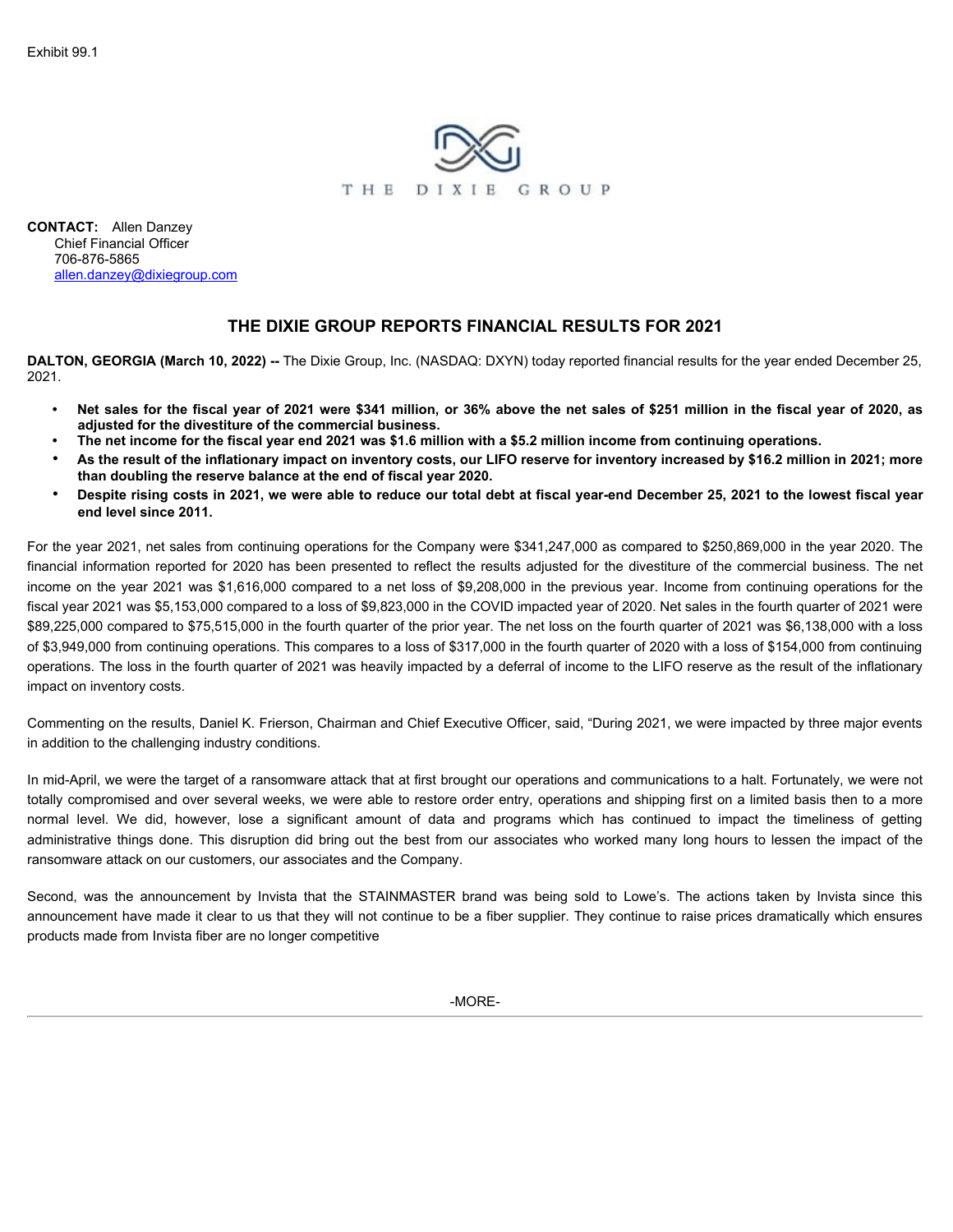

<span id="page-3-0"></span>**CONTACT:** Allen Danzey Chief Financial Officer 706-876-5865 allen.danzey@dixiegroup.com

### **THE DIXIE GROUP REPORTS FINANCIAL RESULTS FOR 2021**

**DALTON, GEORGIA (March 10, 2022) --** The Dixie Group, Inc. (NASDAQ: DXYN) today reported financial results for the year ended December 25, 2021.

- **• Net sales for the fiscal year of 2021 were \$341 million, or 36% above the net sales of \$251 million in the fiscal year of 2020, as adjusted for the divestiture of the commercial business.**
- **• The net income for the fiscal year end 2021 was \$1.6 million with a \$5.2 million income from continuing operations.**
- **As the result of the inflationary impact on inventory costs, our LIFO reserve for inventory increased by \$16.2 million in 2021; more than doubling the reserve balance at the end of fiscal year 2020.**
- **Despite rising costs in 2021, we were able to reduce our total debt at fiscal year-end December 25, 2021 to the lowest fiscal year end level since 2011.**

For the year 2021, net sales from continuing operations for the Company were \$341,247,000 as compared to \$250,869,000 in the year 2020. The financial information reported for 2020 has been presented to reflect the results adjusted for the divestiture of the commercial business. The net income on the year 2021 was \$1,616,000 compared to a net loss of \$9,208,000 in the previous year. Income from continuing operations for the fiscal year 2021 was \$5,153,000 compared to a loss of \$9,823,000 in the COVID impacted year of 2020. Net sales in the fourth quarter of 2021 were \$89,225,000 compared to \$75,515,000 in the fourth quarter of the prior year. The net loss on the fourth quarter of 2021 was \$6,138,000 with a loss of \$3,949,000 from continuing operations. This compares to a loss of \$317,000 in the fourth quarter of 2020 with a loss of \$154,000 from continuing operations. The loss in the fourth quarter of 2021 was heavily impacted by a deferral of income to the LIFO reserve as the result of the inflationary impact on inventory costs. **DALTON, GEORGIA (March 10, 2022)** - The DIXIE GROUP REPORTS FINANCIAL RESULTS FOR 2021<br>
<sup>2021</sup><br>
<sup>2022</sup><br>
<sup>2022</sup><br> **2021**<br> **2021**<br> **2021**<br> **2021**<br> **2021**<br> **2021**<br> **2021**<br> **2021**<br> **2021**<br> **2021**<br> **2021**<br> **2021**<br> **2021**<br> **202** THE DIXIE GROUP REPORTS FINANCIAL RESULTS FOR 2021<br>2021.<br>
2021. Not sales for the filestal year of 2021 were 344 million, or 38% above the net sales of \$25 million in the fiscal year of 2020, as<br>
adjusted for the disruptio EXEL. Not sales for the fiscal year of 2021 were \$341 million, or 36% above the net sales of \$251 million in the fiscal year of 2020, as adjusted for the divestime of the commercial business.<br>The net incommercial busines i

Commenting on the results, Daniel K. Frierson, Chairman and Chief Executive Officer, said, "During 2021, we were impacted by three major events in addition to the challenging industry conditions.

In mid-April, we were the target of a ransomware attack that at first brought our operations and communications to a halt. Fortunately, we were not totally compromised and over several weeks, we were able to restore order entry, operations and shipping first on a limited basis then to a more ransomware attack on our customers, our associates and the Company.

announcement have made it clear to us that they will not continue to be a fiber supplier. They continue to raise prices dramatically which ensures products made from Invista fiber are no longer competitive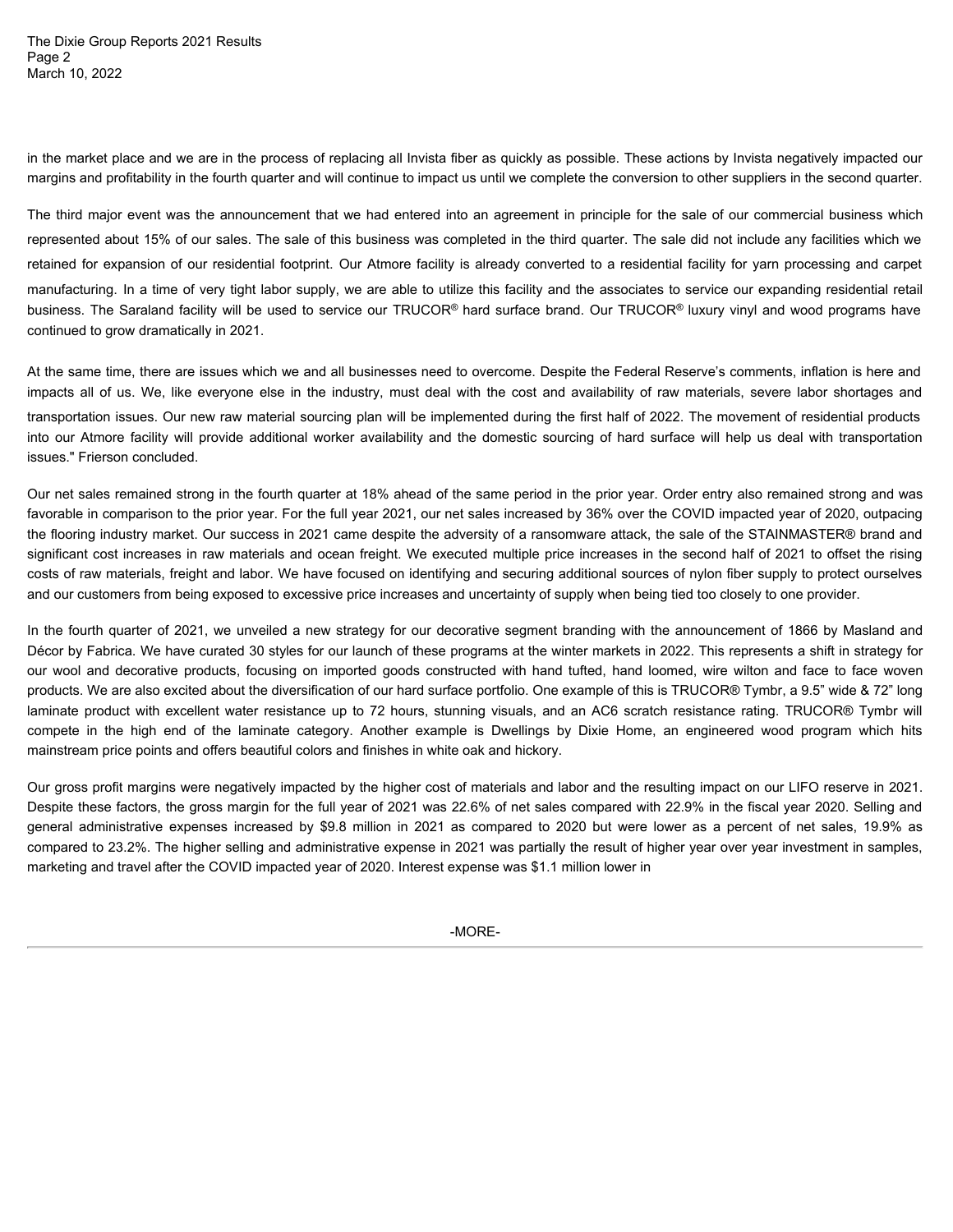The Dixie Group Reports 2021 Results Page 2 and 2 and 2 and 2 and 2 and 2 and 2 and 2 and 2 and 2 and 2 and 2 and 2 and 2 and 2 and 2 and 2 and 2 and 2 and 2 and 2 and 2 and 2 and 2 and 2 and 2 and 2 and 2 and 2 and 2 and 2 and 2 and 2 and 2 and 2 and 2 and 2 March 10, 2022

in the market place and we are in the process of replacing all Invista fiber as quickly as possible. These actions by Invista negatively impacted our margins and profitability in the fourth quarter and will continue to impact us until we complete the conversion to other suppliers in the second quarter.

The third major event was the announcement that we had entered into an agreement in principle for the sale of our commercial business which represented about 15% of our sales. The sale of this business was completed in the third quarter. The sale did not include any facilities which we retained for expansion of our residential footprint. Our Atmore facility is already converted to a residential facility for yarn processing and carpet manufacturing. In a time of very tight labor supply, we are able to utilize this facility and the associates to service our expanding residential retail business. The Saraland facility will be used to service our TRUCOR® hard surface brand. Our TRUCOR® luxury vinyl and wood programs have continued to grow dramatically in 2021. The Dixie Group Reports 2021 Results<br>Page 2<br>Page 2<br>In the market place and we are in the process of replacing all Invista fiber as quickly as possible. These actions by Invista negatively impacted our<br>margins and profitabi The Dixie Group Reports 2021 Results<br>The premiete place and we are in the process of replacing all invisia flore as quickly as possible. These actions by Invisia negatively impacted our<br>in the market place and we are in th

At the same time, there are issues which we and all businesses need to overcome. Despite the Federal Reserve's comments, inflation is here and transportation issues. Our new raw material sourcing plan will be implemented during the first half of 2022. The movement of residential products issues." Frierson concluded.

Our net sales remained strong in the fourth quarter at 18% ahead of the same period in the prior year. Order entry also remained strong and was favorable in comparison to the prior year. For the full year 2021, our net sales increased by 36% over the COVID impacted year of 2020, outpacing the flooring industry market. Our success in 2021 came despite the adversity of a ransomware attack, the sale of the STAINMASTER® brand and significant cost increases in raw materials and ocean freight. We executed multiple price increases in the second half of 2021 to offset the rising costs of raw materials, freight and labor. We have focused on identifying and securing additional sources of nylon fiber supply to protect ourselves and our customers from being exposed to excessive price increases and uncertainty of supply when being tied too closely to one provider.

In the fourth quarter of 2021, we unveiled a new strategy for our decorative segment branding with the announcement of 1866 by Masland and Décor by Fabrica. We have curated 30 styles for our launch of these programs at the winter markets in 2022. This represents a shift in strategy for in the mate place and we are in the process of repoints and hivelal focus quickly as possible. These actions by hivistangalized us the material business which mentine actions by the business which imported business which a products. We are also excited about the diversification of our hard surface portfolio. One example of this is TRUCOR® Tymbr, a 9.5" wide & 72" long The third major ovent was the announcement that we had entered into an agroement in principle for the sale of uncommencial business which<br>regissented about 15% of av siles. The sale of this business was completed in the fl The first may enert was the annuamenent hat we had entered into an agreement in principle for the asset of nour commercial business with<br>the preperanted about 15% of our sales. The sale of this business was complete in the mainstream price points and offers beautiful colors and finishes in white oak and hickory. but the same of the weak teaching will be used to service our IRUCOR hard surface brack. Our IRUCOR tures in the same simple and the same simple and the same simple and the same simple and the same simple and compare and t

Our gross profit margins were negatively impacted by the higher cost of materials and labor and the resulting impact on our LIFO reserve in 2021. Despite these factors, the gross margin for the full year of 2021 was 22.6% of net sales compared with 22.9% in the fiscal year 2020. Selling and compared to 23.2%. The higher selling and administrative expense in 2021 was partially the result of higher year over year investment in samples, marketing and travel after the COVID impacted year of 2020. Interest expense was \$1.1 million lower in

-MORE-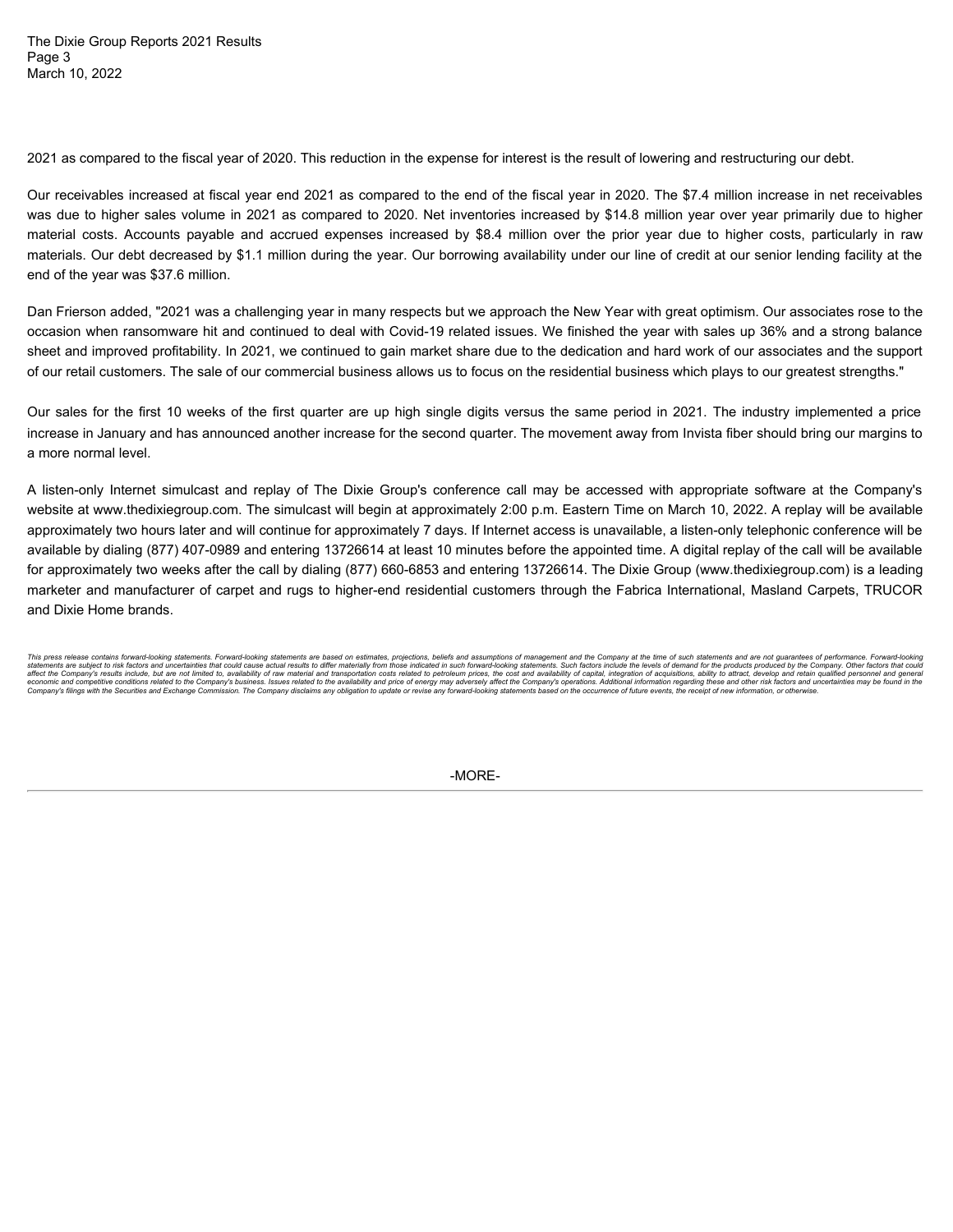The Dixie Group Reports 2021 Results Page 3 and 2012 and 2012 and 2012 and 2012 and 2012 and 2012 and 2012 and 2012 and 2012 and 2012 and 2012 and March 10, 2022

2021 as compared to the fiscal year of 2020. This reduction in the expense for interest is the result of lowering and restructuring our debt.

Our receivables increased at fiscal year end 2021 as compared to the end of the fiscal year in 2020. The \$7.4 million increase in net receivables was due to higher sales volume in 2021 as compared to 2020. Net inventories increased by \$14.8 million year over year primarily due to higher The Dixie Group Reports 2021 Results<br>Page 3<br>March 10, 2022<br>2021 as compared to the fiscal year of 2020. This reduction in the expense for interest is the result of lowering and restructuring our debt.<br>Our receivables incre materials. Our debt decreased by \$1.1 million during the year. Our borrowing availability under our line of credit at our senior lending facility at the end of the year was \$37.6 million.

Dan Frierson added, "2021 was a challenging year in many respects but we approach the New Year with great optimism. Our associates rose to the occasion when ransomware hit and continued to deal with Covid-19 related issues. We finished the year with sales up 36% and a strong balance sheet and improved profitability. In 2021, we continued to gain market share due to the dedication and hard work of our associates and the support of our retail customers. The sale of our commercial business allows us to focus on the residential business which plays to our greatest strengths."

Our sales for the first 10 weeks of the first quarter are up high single digits versus the same period in 2021. The industry implemented a price increase in January and has announced another increase for the second quarter. The movement away from Invista fiber should bring our margins to a more normal level.

The Divis Group Reports 2021 Results<br>These 10, 2022<br>Watern 10, 2022<br>Watern 10, 2022<br>Watern 10, 2022<br>Watern 10, 2022<br>Watern dust of the filsten year of 2020. This reduction in the expense for interest is the result of lower website at www.thedixiegroup.com. The simulcast will begin at approximately 2:00 p.m. Eastern Time on March 10, 2022. A replay will be available approximately two hours later and will continue for approximately 7 days. If Internet access is unavailable, a listen-only telephonic conference will be available by dialing (877) 407-0989 and entering 13726614 at least 10 minutes before the appointed time. A digital replay of the call will be available for approximately two weeks after the call by dialing (877) 660-6853 and entering 13726614. The Dixie Group (www.thedixiegroup.com) is a leading marketer and manufacturer of carpet and rugs to higher-end residential customers through the Fabrica International, Masland Carpets, TRUCOR and Dixie Home brands.

-MORE-

This press release contains forward-looking statements. Forward-looking statements are based on estimates, projections, beliefs and assumptions of management and the Company at the time of such statements and are not quara statements are subject orisk factors and uncertaintes that could cause actual results to differ material) from those indicated in percept and availability of raw material and transportation costs related to petroleum price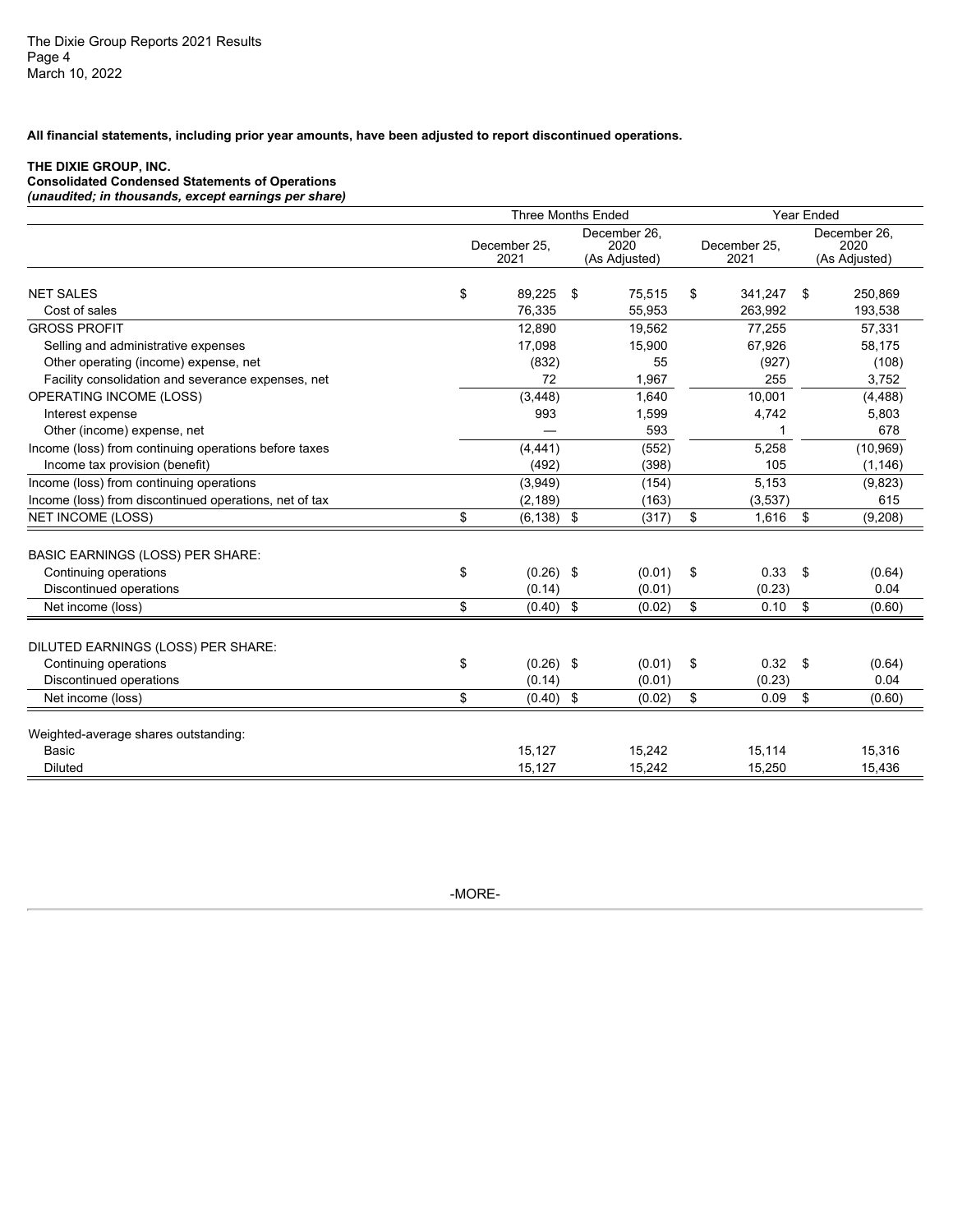**All financial statements, including prior year amounts, have been adjusted to report discontinued operations.**

#### **THE DIXIE GROUP, INC.**

**Consolidated Condensed Statements of Operations** 

| <b>Three Months Ended</b><br>Year Ended<br>December 26,<br>December 26,<br>December 25,<br>2020<br>December 25.<br>2020<br>2021<br>2021<br>(As Adjusted)<br>(As Adjusted)<br>\$<br>89,225<br>\$<br>75,515<br>341,247 \$<br>250,869<br>\$<br>Cost of sales<br>76,335<br>55,953<br>263,992<br>193,538 |
|-----------------------------------------------------------------------------------------------------------------------------------------------------------------------------------------------------------------------------------------------------------------------------------------------------|
| <b>NET SALES</b>                                                                                                                                                                                                                                                                                    |
|                                                                                                                                                                                                                                                                                                     |
|                                                                                                                                                                                                                                                                                                     |
|                                                                                                                                                                                                                                                                                                     |
| <b>GROSS PROFIT</b><br>12.890<br>19,562<br>77,255<br>57,331                                                                                                                                                                                                                                         |
| Selling and administrative expenses<br>15,900<br>67,926<br>17,098<br>58,175                                                                                                                                                                                                                         |
| 55<br>(927)<br>Other operating (income) expense, net<br>(832)<br>(108)                                                                                                                                                                                                                              |
| Facility consolidation and severance expenses, net<br>72<br>1,967<br>255<br>3,752                                                                                                                                                                                                                   |
| OPERATING INCOME (LOSS)<br>(3, 448)<br>1,640<br>10,001<br>(4, 488)                                                                                                                                                                                                                                  |
| 993<br>1,599<br>4,742<br>5,803<br>Interest expense                                                                                                                                                                                                                                                  |
| Other (income) expense, net<br>593<br>678                                                                                                                                                                                                                                                           |
| Income (loss) from continuing operations before taxes<br>(552)<br>5,258<br>(10, 969)<br>(4, 441)                                                                                                                                                                                                    |
| Income tax provision (benefit)<br>(492)<br>(398)<br>105<br>(1, 146)                                                                                                                                                                                                                                 |
| Income (loss) from continuing operations<br>(3,949)<br>(154)<br>5,153<br>(9,823)                                                                                                                                                                                                                    |
| Income (loss) from discontinued operations, net of tax<br>(2, 189)<br>(163)<br>(3,537)<br>615                                                                                                                                                                                                       |
| <b>NET INCOME (LOSS)</b><br>$(6, 138)$ \$<br>(317)<br>$1,616$ \$<br>(9,208)<br>\$<br>- \$                                                                                                                                                                                                           |
| <b>BASIC EARNINGS (LOSS) PER SHARE:</b>                                                                                                                                                                                                                                                             |
| Continuing operations<br>$(0.26)$ \$<br>$0.33$ \$<br>\$<br>$(0.01)$ \$<br>(0.64)                                                                                                                                                                                                                    |
| Discontinued operations<br>(0.14)<br>(0.01)<br>(0.23)<br>0.04                                                                                                                                                                                                                                       |
| \$<br>- \$<br>$0.10$ \$<br>(0.60)<br>$(0.40)$ \$<br>(0.02)<br>Net income (loss)                                                                                                                                                                                                                     |
| DILUTED EARNINGS (LOSS) PER SHARE:                                                                                                                                                                                                                                                                  |
| $(0.26)$ \$<br>$(0.01)$ \$<br>$0.32$ \$<br>Continuing operations<br>\$<br>(0.64)                                                                                                                                                                                                                    |
| (0.23)<br>0.04<br>Discontinued operations<br>(0.14)<br>(0.01)                                                                                                                                                                                                                                       |
| \$<br>0.09<br>(0.60)<br>Net income (loss)<br>$(0.40)$ \$<br>(0.02)<br>\$<br>\$                                                                                                                                                                                                                      |
|                                                                                                                                                                                                                                                                                                     |
| Weighted-average shares outstanding:                                                                                                                                                                                                                                                                |
| 15,127<br>15,242<br>15,316<br>15,114<br>Basic                                                                                                                                                                                                                                                       |
| 15,127<br>15,242<br>Diluted<br>15,250<br>15,436                                                                                                                                                                                                                                                     |

-MORE-